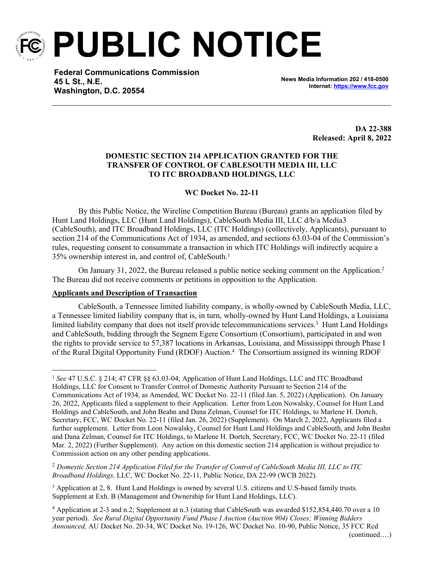

**PUBLIC NOTICE**

**Federal Communications Commission 45 L St., N.E. Washington, D.C. 20554**

**News Media Information 202 / 418-0500 Internet:<https://www.fcc.gov>**

> **DA 22-388 Released: April 8, 2022**

# **DOMESTIC SECTION 214 APPLICATION GRANTED FOR THE TRANSFER OF CONTROL OF CABLESOUTH MEDIA III, LLC TO ITC BROADBAND HOLDINGS, LLC**

# **WC Docket No. 22-11**

By this Public Notice, the Wireline Competition Bureau (Bureau) grants an application filed by Hunt Land Holdings, LLC (Hunt Land Holdings), CableSouth Media III, LLC d/b/a Media3 (CableSouth), and ITC Broadband Holdings, LLC (ITC Holdings) (collectively, Applicants), pursuant to section 214 of the Communications Act of 1934, as amended, and sections 63.03-04 of the Commission's rules, requesting consent to consummate a transaction in which ITC Holdings will indirectly acquire a 35% ownership interest in, and control of, CableSouth.<sup>1</sup>

On January 31, 2022, the Bureau released a public notice seeking comment on the Application.<sup>2</sup> The Bureau did not receive comments or petitions in opposition to the Application.

### **Applicants and Description of Transaction**

CableSouth, a Tennessee limited liability company, is wholly-owned by CableSouth Media, LLC, a Tennessee limited liability company that is, in turn, wholly-owned by Hunt Land Holdings, a Louisiana limited liability company that does not itself provide telecommunications services.<sup>3</sup> Hunt Land Holdings and CableSouth, bidding through the Segnem Egere Consortium (Consortium), participated in and won the rights to provide service to 57,387 locations in Arkansas, Louisiana, and Mississippi through Phase I of the Rural Digital Opportunity Fund (RDOF) Auction.<sup>4</sup> The Consortium assigned its winning RDOF

<sup>2</sup> *Domestic Section 214 Application Filed for the Transfer of Control of CableSouth Media III, LLC to ITC Broadband Holdings,* LLC, WC Docket No. 22-11, Public Notice, DA 22-99 (WCB 2022).

<sup>3</sup> Application at 2, 8. Hunt Land Holdings is owned by several U.S. citizens and U.S-based family trusts. Supplement at Exh. B (Management and Ownership for Hunt Land Holdings, LLC).

<sup>4</sup> Application at 2-3 and n.2; Supplement at n.3 (stating that CableSouth was awarded \$152,854,440.70 over a 10 year period). *See Rural Digital Opportunity Fund Phase I Auction (Auction 904) Closes; Winning Bidders Announced,* AU Docket No. 20-34, WC Docket No. 19-126, WC Docket No. 10-90, Public Notice, 35 FCC Rcd (continued….)

<sup>1</sup> *See* 47 U.S.C. § 214; 47 CFR §§ 63.03-04; Application of Hunt Land Holdings, LLC and ITC Broadband Holdings, LLC for Consent to Transfer Control of Domestic Authority Pursuant to Section 214 of the Communications Act of 1934, as Amended, WC Docket No. 22-11 (filed Jan. 5, 2022) (Application). On January 26, 2022, Applicants filed a supplement to their Application. Letter from Leon Nowalsky, Counsel for Hunt Land Holdings and CableSouth, and John Beahn and Dana Zelman, Counsel for ITC Holdings, to Marlene H. Dortch, Secretary, FCC, WC Docket No. 22-11 (filed Jan. 26, 2022) (Supplement). On March 2, 2022, Applicants filed a further supplement. Letter from Leon Nowalsky, Counsel for Hunt Land Holdings and CableSouth, and John Beahn and Dana Zelman, Counsel for ITC Holdings, to Marlene H. Dortch, Secretary, FCC, WC Docket No. 22-11 (filed Mar. 2, 2022) (Further Supplement). Any action on this domestic section 214 application is without prejudice to Commission action on any other pending applications.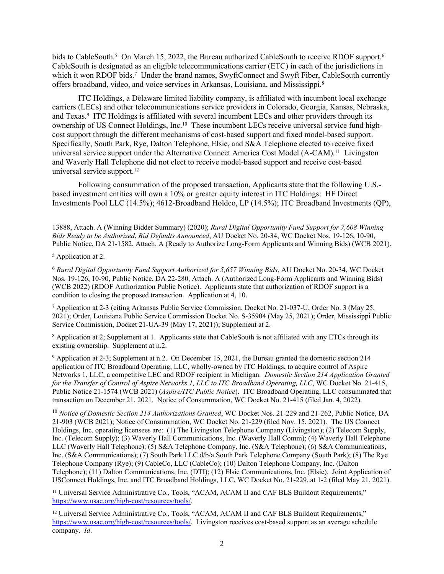bids to CableSouth.<sup>5</sup> On March 15, 2022, the Bureau authorized CableSouth to receive RDOF support.<sup>6</sup> CableSouth is designated as an eligible telecommunications carrier (ETC) in each of the jurisdictions in which it won RDOF bids.<sup>7</sup> Under the brand names, SwyftConnect and Swyft Fiber, CableSouth currently offers broadband, video, and voice services in Arkansas, Louisiana, and Mississippi.<sup>8</sup>

ITC Holdings, a Delaware limited liability company, is affiliated with incumbent local exchange carriers (LECs) and other telecommunications service providers in Colorado, Georgia, Kansas, Nebraska, and Texas.<sup>9</sup> ITC Holdings is affiliated with several incumbent LECs and other providers through its ownership of US Connect Holdings, Inc.10 These incumbent LECs receive universal service fund highcost support through the different mechanisms of cost-based support and fixed model-based support. Specifically, South Park, Rye, Dalton Telephone, Elsie, and S&A Telephone elected to receive fixed universal service support under the Alternative Connect America Cost Model (A-CAM).<sup>11</sup> Livingston and Waverly Hall Telephone did not elect to receive model-based support and receive cost-based universal service support.<sup>12</sup>

Following consummation of the proposed transaction, Applicants state that the following U.S. based investment entities will own a 10% or greater equity interest in ITC Holdings: HF Direct Investments Pool LLC (14.5%); 4612-Broadband Holdco, LP (14.5%); ITC Broadband Investments (QP),

7 Application at 2-3 (citing Arkansas Public Service Commission, Docket No. 21-037-U, Order No. 3 (May 25, 2021); Order, Louisiana Public Service Commission Docket No. S-35904 (May 25, 2021); Order, Mississippi Public Service Commission, Docket 21-UA-39 (May 17, 2021)); Supplement at 2.

<sup>8</sup> Application at 2; Supplement at 1. Applicants state that CableSouth is not affiliated with any ETCs through its existing ownership. Supplement at n.2.

9 Application at 2-3; Supplement at n.2. On December 15, 2021, the Bureau granted the domestic section 214 application of ITC Broadband Operating, LLC, wholly-owned by ITC Holdings, to acquire control of Aspire Networks 1, LLC, a competitive LEC and RDOF recipient in Michigan. *Domestic Section 214 Application Granted for the Transfer of Control of Aspire Networks 1, LLC to ITC Broadband Operating, LLC*, WC Docket No. 21-415, Public Notice 21-1574 (WCB 2021) (*Aspire/ITC Public Notice*). ITC Broadband Operating, LLC consummated that transaction on December 21, 2021. Notice of Consummation, WC Docket No. 21-415 (filed Jan. 4, 2022).

<sup>10</sup> *Notice of Domestic Section 214 Authorizations Granted*, WC Docket Nos. 21-229 and 21-262, Public Notice, DA 21-903 (WCB 2021); Notice of Consummation, WC Docket No. 21-229 (filed Nov. 15, 2021). The US Connect Holdings, Inc. operating licensees are: (1) The Livingston Telephone Company (Livingston); (2) Telecom Supply, Inc. (Telecom Supply); (3) Waverly Hall Communications, Inc. (Waverly Hall Comm); (4) Waverly Hall Telephone LLC (Waverly Hall Telephone); (5) S&A Telephone Company, Inc. (S&A Telephone); (6) S&A Communications, Inc. (S&A Communications); (7) South Park LLC d/b/a South Park Telephone Company (South Park); (8) The Rye Telephone Company (Rye); (9) CableCo, LLC (CableCo); (10) Dalton Telephone Company, Inc. (Dalton Telephone); (11) Dalton Communications, Inc. (DTI); (12) Elsie Communications, Inc. (Elsie). Joint Application of USConnect Holdings, Inc. and ITC Broadband Holdings, LLC, WC Docket No. 21-229, at 1-2 (filed May 21, 2021).

<sup>11</sup> Universal Service Administrative Co., Tools, "ACAM, ACAM II and CAF BLS Buildout Requirements," <https://www.usac.org/high-cost/resources/tools/>.

<sup>12</sup> Universal Service Administrative Co., Tools, "ACAM, ACAM II and CAF BLS Buildout Requirements," <https://www.usac.org/high-cost/resources/tools/>. Livingston receives cost-based support as an average schedule company. *Id*.

<sup>13888,</sup> Attach. A (Winning Bidder Summary) (2020); *Rural Digital Opportunity Fund Support for 7,608 Winning Bids Ready to be Authorized*, *Bid Defaults Announced*, AU Docket No. 20-34, WC Docket Nos. 19-126, 10-90, Public Notice, DA 21-1582, Attach. A (Ready to Authorize Long-Form Applicants and Winning Bids) (WCB 2021).

<sup>5</sup> Application at 2.

<sup>6</sup> *Rural Digital Opportunity Fund Support Authorized for 5,657 Winning Bids*, AU Docket No. 20-34, WC Docket Nos. 19-126, 10-90, Public Notice, DA 22-280, Attach. A (Authorized Long-Form Applicants and Winning Bids) (WCB 2022) (RDOF Authorization Public Notice). Applicants state that authorization of RDOF support is a condition to closing the proposed transaction. Application at 4, 10.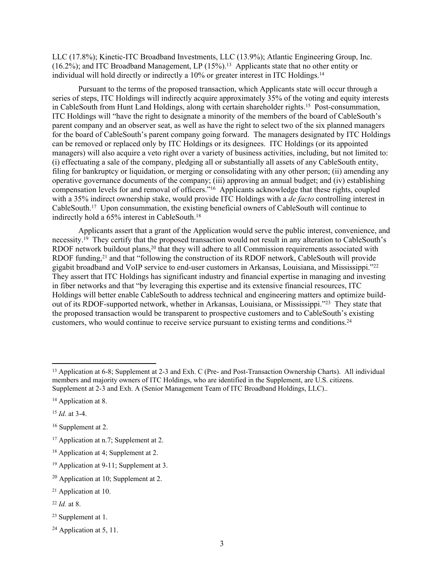LLC (17.8%); Kinetic-ITC Broadband Investments, LLC (13.9%); Atlantic Engineering Group, Inc. (16.2%); and ITC Broadband Management, LP (15%).<sup>13</sup> Applicants state that no other entity or individual will hold directly or indirectly a 10% or greater interest in ITC Holdings.<sup>14</sup>

Pursuant to the terms of the proposed transaction, which Applicants state will occur through a series of steps, ITC Holdings will indirectly acquire approximately 35% of the voting and equity interests in CableSouth from Hunt Land Holdings, along with certain shareholder rights.<sup>15</sup> Post-consummation, ITC Holdings will "have the right to designate a minority of the members of the board of CableSouth's parent company and an observer seat, as well as have the right to select two of the six planned managers for the board of CableSouth's parent company going forward. The managers designated by ITC Holdings can be removed or replaced only by ITC Holdings or its designees. ITC Holdings (or its appointed managers) will also acquire a veto right over a variety of business activities, including, but not limited to: (i) effectuating a sale of the company, pledging all or substantially all assets of any CableSouth entity, filing for bankruptcy or liquidation, or merging or consolidating with any other person; (ii) amending any operative governance documents of the company; (iii) approving an annual budget; and (iv) establishing compensation levels for and removal of officers."<sup>16</sup> Applicants acknowledge that these rights, coupled with a 35% indirect ownership stake, would provide ITC Holdings with a *de facto* controlling interest in CableSouth.<sup>17</sup> Upon consummation, the existing beneficial owners of CableSouth will continue to indirectly hold a 65% interest in CableSouth.<sup>18</sup>

Applicants assert that a grant of the Application would serve the public interest, convenience, and necessity.<sup>19</sup> They certify that the proposed transaction would not result in any alteration to CableSouth's RDOF network buildout plans,<sup>20</sup> that they will adhere to all Commission requirements associated with RDOF funding,<sup>21</sup> and that "following the construction of its RDOF network, CableSouth will provide gigabit broadband and VoIP service to end-user customers in Arkansas, Louisiana, and Mississippi."<sup>22</sup> They assert that ITC Holdings has significant industry and financial expertise in managing and investing in fiber networks and that "by leveraging this expertise and its extensive financial resources, ITC Holdings will better enable CableSouth to address technical and engineering matters and optimize buildout of its RDOF-supported network, whether in Arkansas, Louisiana, or Mississippi."<sup>23</sup> They state that the proposed transaction would be transparent to prospective customers and to CableSouth's existing customers, who would continue to receive service pursuant to existing terms and conditions.<sup>24</sup>

<sup>23</sup> Supplement at 1.

<sup>13</sup> Application at 6-8; Supplement at 2-3 and Exh. C (Pre- and Post-Transaction Ownership Charts). All individual members and majority owners of ITC Holdings, who are identified in the Supplement, are U.S. citizens. Supplement at 2-3 and Exh. A (Senior Management Team of ITC Broadband Holdings, LLC)..

<sup>&</sup>lt;sup>14</sup> Application at 8.

<sup>15</sup> *Id*. at 3-4.

<sup>16</sup> Supplement at 2.

<sup>17</sup> Application at n.7; Supplement at 2.

<sup>18</sup> Application at 4; Supplement at 2.

<sup>19</sup> Application at 9-11; Supplement at 3.

<sup>20</sup> Application at 10; Supplement at 2.

<sup>21</sup> Application at 10.

<sup>22</sup> *Id.* at 8.

<sup>&</sup>lt;sup>24</sup> Application at 5, 11.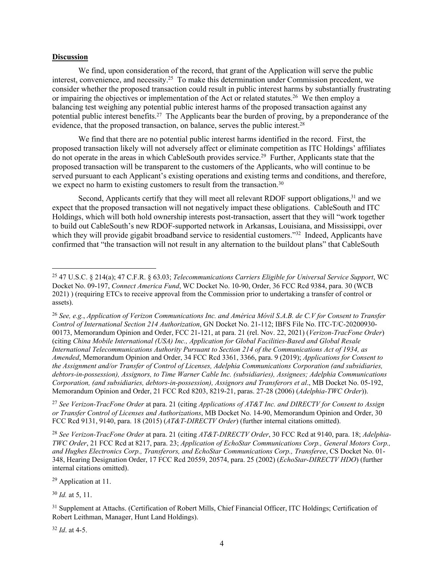#### **Discussion**

We find, upon consideration of the record, that grant of the Application will serve the public interest, convenience, and necessity.<sup>25</sup> To make this determination under Commission precedent, we consider whether the proposed transaction could result in public interest harms by substantially frustrating or impairing the objectives or implementation of the Act or related statutes.<sup>26</sup> We then employ a balancing test weighing any potential public interest harms of the proposed transaction against any potential public interest benefits.<sup>27</sup> The Applicants bear the burden of proving, by a preponderance of the evidence, that the proposed transaction, on balance, serves the public interest.<sup>28</sup>

We find that there are no potential public interest harms identified in the record. First, the proposed transaction likely will not adversely affect or eliminate competition as ITC Holdings' affiliates do not operate in the areas in which CableSouth provides service.<sup>29</sup> Further, Applicants state that the proposed transaction will be transparent to the customers of the Applicants, who will continue to be served pursuant to each Applicant's existing operations and existing terms and conditions, and therefore, we expect no harm to existing customers to result from the transaction.<sup>30</sup>

Second, Applicants certify that they will meet all relevant RDOF support obligations,<sup>31</sup> and we expect that the proposed transaction will not negatively impact these obligations. CableSouth and ITC Holdings, which will both hold ownership interests post-transaction, assert that they will "work together to build out CableSouth's new RDOF-supported network in Arkansas, Louisiana, and Mississippi, over which they will provide gigabit broadband service to residential customers."<sup>32</sup> Indeed, Applicants have confirmed that "the transaction will not result in any alternation to the buildout plans" that CableSouth

<sup>27</sup> *See Verizon-TracFone Order* at para. 21 (citing *Applications of AT&T Inc. and DIRECTV for Consent to Assign or Transfer Control of Licenses and Authorizations*, MB Docket No. 14-90, Memorandum Opinion and Order, 30 FCC Rcd 9131, 9140, para. 18 (2015) (*AT&T-DIRECTV Order*) (further internal citations omitted).

<sup>28</sup> *See Verizon-TracFone Order* at para. 21 (citing *AT&T-DIRECTV Order*, 30 FCC Rcd at 9140, para. 18; *Adelphia-TWC Order*, 21 FCC Rcd at 8217, para. 23; *Application of EchoStar Communications Corp., General Motors Corp., and Hughes Electronics Corp., Transferors, and EchoStar Communications Corp., Transferee*, CS Docket No. 01- 348, Hearing Designation Order, 17 FCC Rcd 20559, 20574, para. 25 (2002) (*EchoStar-DIRECTV HDO*) (further internal citations omitted).

<sup>29</sup> Application at 11.

<sup>30</sup> *Id.* at 5, 11.

<sup>32</sup> *Id*. at 4-5.

<sup>25</sup> 47 U.S.C. § 214(a); 47 C.F.R. § 63.03; *Telecommunications Carriers Eligible for Universal Service Support*, WC Docket No. 09-197, *Connect America Fund*, WC Docket No. 10-90, Order, 36 FCC Rcd 9384, para. 30 (WCB 2021) ) (requiring ETCs to receive approval from the Commission prior to undertaking a transfer of control or assets).

<sup>26</sup> *See, e.g.*, *Application of Verizon Communications Inc. and América Móvil S.A.B. de C.V for Consent to Transfer Control of International Section 214 Authorization*, GN Docket No. 21-112; IBFS File No. ITC-T/C-20200930- 00173, Memorandum Opinion and Order, FCC 21-121, at para. 21 (rel. Nov. 22, 2021) (*Verizon-TracFone Order*) (citing *China Mobile International (USA) Inc., Application for Global Facilities-Based and Global Resale International Telecommunications Authority Pursuant to Section 214 of the Communications Act of 1934, as Amended*, Memorandum Opinion and Order, 34 FCC Rcd 3361, 3366, para. 9 (2019); *Applications for Consent to the Assignment and/or Transfer of Control of Licenses, Adelphia Communications Corporation (and subsidiaries, debtors-in-possession), Assignors, to Time Warner Cable Inc. (subsidiaries), Assignees; Adelphia Communications Corporation, (and subsidiaries, debtors-in-possession), Assignors and Transferors et al*., MB Docket No. 05-192, Memorandum Opinion and Order, 21 FCC Rcd 8203, 8219-21, paras. 27-28 (2006) (*Adelphia-TWC Order*)).

<sup>&</sup>lt;sup>31</sup> Supplement at Attachs. (Certification of Robert Mills, Chief Financial Officer, ITC Holdings; Certification of Robert Leithman, Manager, Hunt Land Holdings).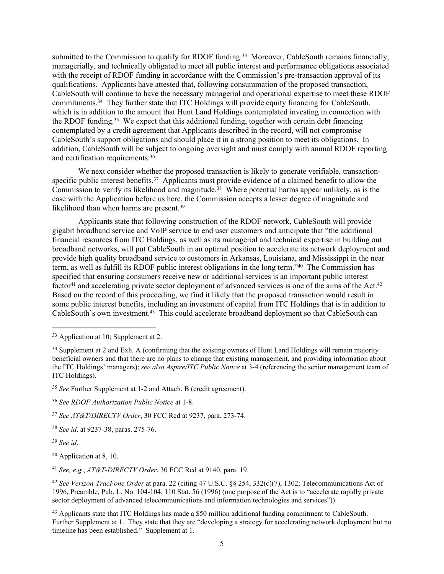submitted to the Commission to qualify for RDOF funding.<sup>33</sup> Moreover, CableSouth remains financially, managerially, and technically obligated to meet all public interest and performance obligations associated with the receipt of RDOF funding in accordance with the Commission's pre-transaction approval of its qualifications. Applicants have attested that, following consummation of the proposed transaction, CableSouth will continue to have the necessary managerial and operational expertise to meet these RDOF commitments.<sup>34</sup> They further state that ITC Holdings will provide equity financing for CableSouth, which is in addition to the amount that Hunt Land Holdings contemplated investing in connection with the RDOF funding.<sup>35</sup> We expect that this additional funding, together with certain debt financing contemplated by a credit agreement that Applicants described in the record, will not compromise CableSouth's support obligations and should place it in a strong position to meet its obligations. In addition, CableSouth will be subject to ongoing oversight and must comply with annual RDOF reporting and certification requirements.<sup>36</sup>

We next consider whether the proposed transaction is likely to generate verifiable, transactionspecific public interest benefits.<sup>37</sup> Applicants must provide evidence of a claimed benefit to allow the Commission to verify its likelihood and magnitude.<sup>38</sup> Where potential harms appear unlikely, as is the case with the Application before us here, the Commission accepts a lesser degree of magnitude and likelihood than when harms are present.<sup>39</sup>

Applicants state that following construction of the RDOF network, CableSouth will provide gigabit broadband service and VoIP service to end user customers and anticipate that "the additional financial resources from ITC Holdings, as well as its managerial and technical expertise in building out broadband networks, will put CableSouth in an optimal position to accelerate its network deployment and provide high quality broadband service to customers in Arkansas, Louisiana, and Mississippi in the near term, as well as fulfill its RDOF public interest obligations in the long term."<sup>40</sup> The Commission has specified that ensuring consumers receive new or additional services is an important public interest factor<sup>41</sup> and accelerating private sector deployment of advanced services is one of the aims of the Act.<sup>42</sup> Based on the record of this proceeding, we find it likely that the proposed transaction would result in some public interest benefits, including an investment of capital from ITC Holdings that is in addition to CableSouth's own investment.<sup>43</sup> This could accelerate broadband deployment so that CableSouth can

<sup>39</sup> *See id*.

<sup>40</sup> Application at 8, 10.

<sup>41</sup> *See, e.g.*, *AT&T-DIRECTV Order*, 30 FCC Rcd at 9140, para. 19.

<sup>42</sup> *See Verizon-TracFone Order* at para. 22 (citing 47 U.S.C. §§ 254, 332(c)(7), 1302; Telecommunications Act of 1996, Preamble, Pub. L. No. 104-104, 110 Stat. 56 (1996) (one purpose of the Act is to "accelerate rapidly private sector deployment of advanced telecommunications and information technologies and services")).

<sup>43</sup> Applicants state that ITC Holdings has made a \$50 million additional funding commitment to CableSouth. Further Supplement at 1. They state that they are "developing a strategy for accelerating network deployment but no timeline has been established." Supplement at 1.

<sup>&</sup>lt;sup>33</sup> Application at 10: Supplement at 2.

<sup>&</sup>lt;sup>34</sup> Supplement at 2 and Exh. A (confirming that the existing owners of Hunt Land Holdings will remain majority beneficial owners and that there are no plans to change that existing management, and providing information about the ITC Holdings' managers); *see also Aspire/ITC Public Notice* at 3-4 (referencing the senior management team of ITC Holdings).

<sup>35</sup> *See* Further Supplement at 1-2 and Attach. B (credit agreement).

<sup>36</sup> *See RDOF Authorization Public Notice* at 1-8.

<sup>37</sup> *See AT&T/DIRECTV Order*, 30 FCC Rcd at 9237, para. 273-74.

<sup>38</sup> *See id*. at 9237-38, paras. 275-76.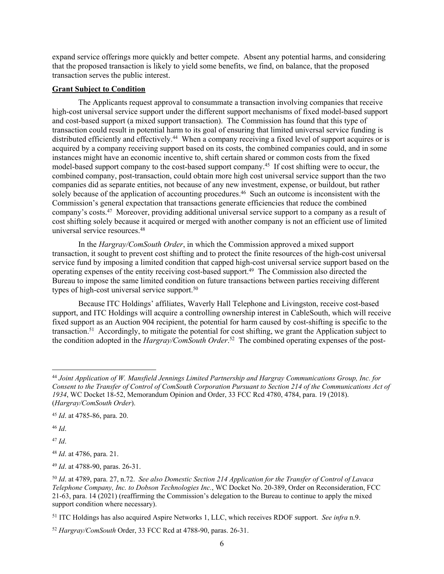expand service offerings more quickly and better compete. Absent any potential harms, and considering that the proposed transaction is likely to yield some benefits, we find, on balance, that the proposed transaction serves the public interest.

### **Grant Subject to Condition**

The Applicants request approval to consummate a transaction involving companies that receive high-cost universal service support under the different support mechanisms of fixed model-based support and cost-based support (a mixed support transaction). The Commission has found that this type of transaction could result in potential harm to its goal of ensuring that limited universal service funding is distributed efficiently and effectively.<sup>44</sup> When a company receiving a fixed level of support acquires or is acquired by a company receiving support based on its costs, the combined companies could, and in some instances might have an economic incentive to, shift certain shared or common costs from the fixed model-based support company to the cost-based support company.<sup>45</sup> If cost shifting were to occur, the combined company, post-transaction, could obtain more high cost universal service support than the two companies did as separate entities, not because of any new investment, expense, or buildout, but rather solely because of the application of accounting procedures.<sup>46</sup> Such an outcome is inconsistent with the Commission's general expectation that transactions generate efficiencies that reduce the combined company's costs.<sup>47</sup> Moreover, providing additional universal service support to a company as a result of cost shifting solely because it acquired or merged with another company is not an efficient use of limited universal service resources.<sup>48</sup>

In the *Hargray/ComSouth Order*, in which the Commission approved a mixed support transaction, it sought to prevent cost shifting and to protect the finite resources of the high-cost universal service fund by imposing a limited condition that capped high-cost universal service support based on the operating expenses of the entity receiving cost-based support.<sup>49</sup> The Commission also directed the Bureau to impose the same limited condition on future transactions between parties receiving different types of high-cost universal service support.<sup>50</sup>

Because ITC Holdings' affiliates, Waverly Hall Telephone and Livingston, receive cost-based support, and ITC Holdings will acquire a controlling ownership interest in CableSouth, which will receive fixed support as an Auction 904 recipient, the potential for harm caused by cost-shifting is specific to the transaction.<sup>51</sup> Accordingly, to mitigate the potential for cost shifting, we grant the Application subject to the condition adopted in the *Hargray/ComSouth Order*. 52 The combined operating expenses of the post-

<sup>46</sup> *Id*.

<sup>47</sup> *Id*.

<sup>48</sup> *Id*. at 4786, para. 21.

<sup>49</sup> *Id*. at 4788-90, paras. 26-31.

<sup>44</sup> *Joint Application of W. Mansfield Jennings Limited Partnership and Hargray Communications Group, Inc. for Consent to the Transfer of Control of ComSouth Corporation Pursuant to Section 214 of the Communications Act of 1934*, WC Docket 18-52, Memorandum Opinion and Order, 33 FCC Rcd 4780, 4784, para. 19 (2018). (*Hargray/ComSouth Order*).

<sup>45</sup> *Id*. at 4785-86, para. 20.

<sup>50</sup> *Id*. at 4789, para. 27, n.72. *See also Domestic Section 214 Application for the Transfer of Control of Lavaca Telephone Company, Inc. to Dobson Technologies Inc.*, WC Docket No. 20-389, Order on Reconsideration, FCC 21-63, para. 14 (2021) (reaffirming the Commission's delegation to the Bureau to continue to apply the mixed support condition where necessary).

<sup>51</sup> ITC Holdings has also acquired Aspire Networks 1, LLC, which receives RDOF support. *See infra* n.9.

<sup>52</sup> *Hargray/ComSouth* Order, 33 FCC Rcd at 4788-90, paras. 26-31.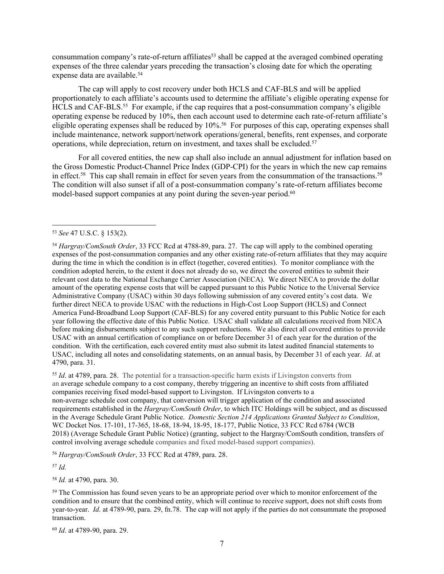consummation company's rate-of-return affiliates<sup>53</sup> shall be capped at the averaged combined operating expenses of the three calendar years preceding the transaction's closing date for which the operating expense data are available.<sup>54</sup>

The cap will apply to cost recovery under both HCLS and CAF-BLS and will be applied proportionately to each affiliate's accounts used to determine the affiliate's eligible operating expense for HCLS and CAF-BLS.<sup>55</sup> For example, if the cap requires that a post-consummation company's eligible operating expense be reduced by 10%, then each account used to determine each rate-of-return affiliate's eligible operating expenses shall be reduced by 10%.<sup>56</sup> For purposes of this cap, operating expenses shall include maintenance, network support/network operations/general, benefits, rent expenses, and corporate operations, while depreciation, return on investment, and taxes shall be excluded.<sup>57</sup>

For all covered entities, the new cap shall also include an annual adjustment for inflation based on the Gross Domestic Product-Channel Price Index (GDP-CPI) for the years in which the new cap remains in effect.<sup>58</sup> This cap shall remain in effect for seven years from the consummation of the transactions.<sup>59</sup> The condition will also sunset if all of a post-consummation company's rate-of-return affiliates become model-based support companies at any point during the seven-year period.<sup>60</sup>

<sup>55</sup> *Id*. at 4789, para. 28. The potential for a transaction-specific harm exists if Livingston converts from an average schedule company to a cost company, thereby triggering an incentive to shift costs from affiliated companies receiving fixed model-based support to Livingston. If Livingston converts to a non-average schedule cost company, that conversion will trigger application of the condition and associated requirements established in the *Hargray/ComSouth Order*, to which ITC Holdings will be subject, and as discussed in the Average Schedule Grant Public Notice. *Domestic Section 214 Applications Granted Subject to Condition*, WC Docket Nos. 17-101, 17-365, 18-68, 18-94, 18-95, 18-177, Public Notice, 33 FCC Rcd 6784 (WCB 2018) (Average Schedule Grant Public Notice) (granting, subject to the Hargray/ComSouth condition, transfers of control involving average schedule companies and fixed model-based support companies).

<sup>56</sup> *Hargray/ComSouth Order*, 33 FCC Rcd at 4789, para. 28.

<sup>57</sup> *Id.*

<sup>58</sup> *Id.* at 4790, para. 30.

<sup>60</sup> *Id*. at 4789-90, para. 29.

<sup>53</sup> *See* 47 U.S.C. § 153(2).

<sup>54</sup> *Hargray/ComSouth Order*, 33 FCC Rcd at 4788-89, para. 27. The cap will apply to the combined operating expenses of the post-consummation companies and any other existing rate-of-return affiliates that they may acquire during the time in which the condition is in effect (together, covered entities). To monitor compliance with the condition adopted herein, to the extent it does not already do so, we direct the covered entities to submit their relevant cost data to the National Exchange Carrier Association (NECA). We direct NECA to provide the dollar amount of the operating expense costs that will be capped pursuant to this Public Notice to the Universal Service Administrative Company (USAC) within 30 days following submission of any covered entity's cost data. We further direct NECA to provide USAC with the reductions in High-Cost Loop Support (HCLS) and Connect America Fund-Broadband Loop Support (CAF-BLS) for any covered entity pursuant to this Public Notice for each year following the effective date of this Public Notice. USAC shall validate all calculations received from NECA before making disbursements subject to any such support reductions. We also direct all covered entities to provide USAC with an annual certification of compliance on or before December 31 of each year for the duration of the condition. With the certification, each covered entity must also submit its latest audited financial statements to USAC, including all notes and consolidating statements, on an annual basis, by December 31 of each year. *Id*. at 4790, para. 31.

<sup>59</sup> The Commission has found seven years to be an appropriate period over which to monitor enforcement of the condition and to ensure that the combined entity, which will continue to receive support, does not shift costs from year-to-year. *Id*. at 4789-90, para. 29, fn.78. The cap will not apply if the parties do not consummate the proposed transaction.